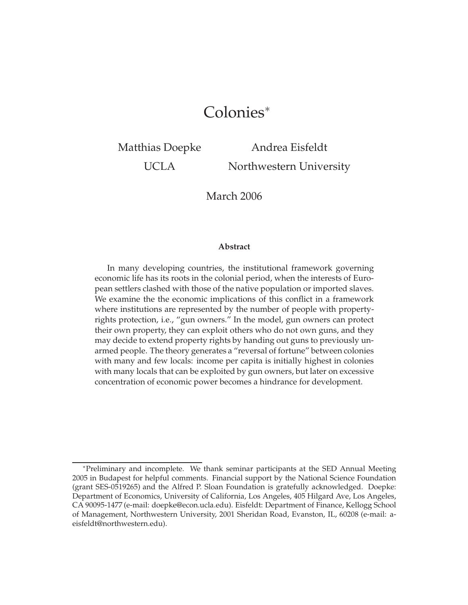# Colonies<sup>∗</sup>

Matthias Doepke

UCLA

Andrea Eisfeldt Northwestern University

March 2006

#### **Abstract**

In many developing countries, the institutional framework governing economic life has its roots in the colonial period, when the interests of European settlers clashed with those of the native population or imported slaves. We examine the the economic implications of this conflict in a framework where institutions are represented by the number of people with propertyrights protection, i.e., "gun owners." In the model, gun owners can protect their own property, they can exploit others who do not own guns, and they may decide to extend property rights by handing out guns to previously unarmed people. The theory generates a "reversal of fortune" between colonies with many and few locals: income per capita is initially highest in colonies with many locals that can be exploited by gun owners, but later on excessive concentration of economic power becomes a hindrance for development.

<sup>∗</sup>Preliminary and incomplete. We thank seminar participants at the SED Annual Meeting 2005 in Budapest for helpful comments. Financial support by the National Science Foundation (grant SES-0519265) and the Alfred P. Sloan Foundation is gratefully acknowledged. Doepke: Department of Economics, University of California, Los Angeles, 405 Hilgard Ave, Los Angeles, CA 90095-1477 (e-mail: doepke@econ.ucla.edu). Eisfeldt: Department of Finance, Kellogg School of Management, Northwestern University, 2001 Sheridan Road, Evanston, IL, 60208 (e-mail: aeisfeldt@northwestern.edu).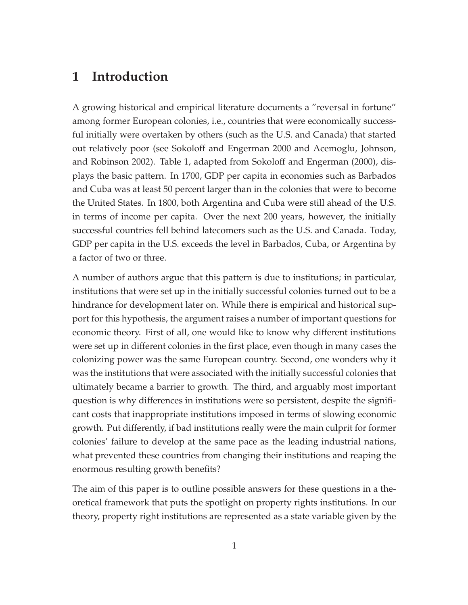### **1 Introduction**

A growing historical and empirical literature documents a "reversal in fortune" among former European colonies, i.e., countries that were economically successful initially were overtaken by others (such as the U.S. and Canada) that started out relatively poor (see Sokoloff and Engerman 2000 and Acemoglu, Johnson, and Robinson 2002). Table 1, adapted from Sokoloff and Engerman (2000), displays the basic pattern. In 1700, GDP per capita in economies such as Barbados and Cuba was at least 50 percent larger than in the colonies that were to become the United States. In 1800, both Argentina and Cuba were still ahead of the U.S. in terms of income per capita. Over the next 200 years, however, the initially successful countries fell behind latecomers such as the U.S. and Canada. Today, GDP per capita in the U.S. exceeds the level in Barbados, Cuba, or Argentina by a factor of two or three.

A number of authors argue that this pattern is due to institutions; in particular, institutions that were set up in the initially successful colonies turned out to be a hindrance for development later on. While there is empirical and historical support for this hypothesis, the argument raises a number of important questions for economic theory. First of all, one would like to know why different institutions were set up in different colonies in the first place, even though in many cases the colonizing power was the same European country. Second, one wonders why it was the institutions that were associated with the initially successful colonies that ultimately became a barrier to growth. The third, and arguably most important question is why differences in institutions were so persistent, despite the significant costs that inappropriate institutions imposed in terms of slowing economic growth. Put differently, if bad institutions really were the main culprit for former colonies' failure to develop at the same pace as the leading industrial nations, what prevented these countries from changing their institutions and reaping the enormous resulting growth benefits?

The aim of this paper is to outline possible answers for these questions in a theoretical framework that puts the spotlight on property rights institutions. In our theory, property right institutions are represented as a state variable given by the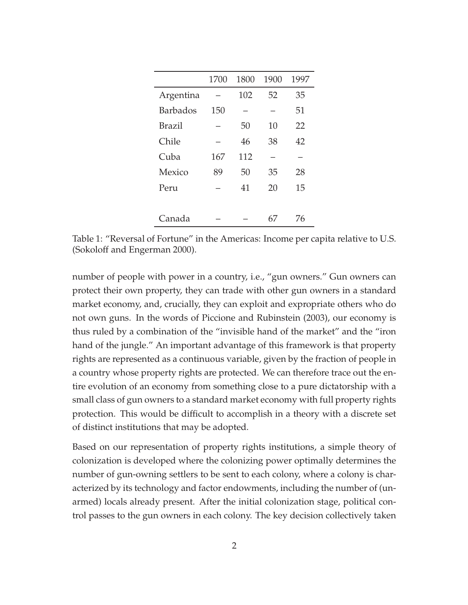|                 | 1700 | 1800 | 1900 | 1997 |
|-----------------|------|------|------|------|
| Argentina       |      | 102  | 52   | 35   |
| <b>Barbados</b> | 150  |      |      | 51   |
| Brazil          |      | 50   | 10   | 22   |
| Chile           |      | 46   | 38   | 42   |
| Cuba            | 167  | 112  |      |      |
| Mexico          | 89   | 50   | 35   | 28   |
| Peru            |      | 41   | 20   | 15   |
|                 |      |      |      |      |
| Canada          |      |      | 67   | 76   |

Table 1: "Reversal of Fortune" in the Americas: Income per capita relative to U.S. (Sokoloff and Engerman 2000).

number of people with power in a country, i.e., "gun owners." Gun owners can protect their own property, they can trade with other gun owners in a standard market economy, and, crucially, they can exploit and expropriate others who do not own guns. In the words of Piccione and Rubinstein (2003), our economy is thus ruled by a combination of the "invisible hand of the market" and the "iron hand of the jungle." An important advantage of this framework is that property rights are represented as a continuous variable, given by the fraction of people in a country whose property rights are protected. We can therefore trace out the entire evolution of an economy from something close to a pure dictatorship with a small class of gun owners to a standard market economy with full property rights protection. This would be difficult to accomplish in a theory with a discrete set of distinct institutions that may be adopted.

Based on our representation of property rights institutions, a simple theory of colonization is developed where the colonizing power optimally determines the number of gun-owning settlers to be sent to each colony, where a colony is characterized by its technology and factor endowments, including the number of (unarmed) locals already present. After the initial colonization stage, political control passes to the gun owners in each colony. The key decision collectively taken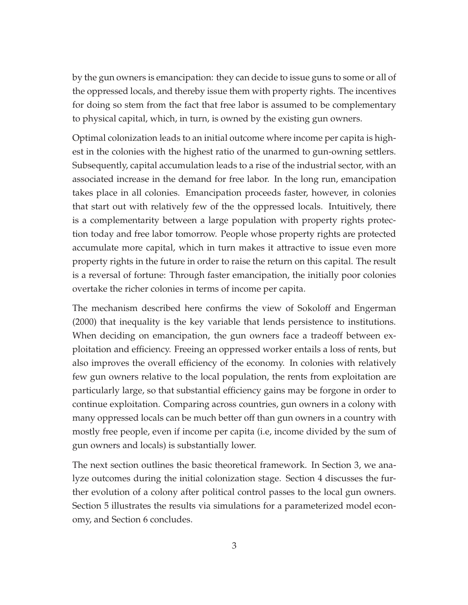by the gun owners is emancipation: they can decide to issue guns to some or all of the oppressed locals, and thereby issue them with property rights. The incentives for doing so stem from the fact that free labor is assumed to be complementary to physical capital, which, in turn, is owned by the existing gun owners.

Optimal colonization leads to an initial outcome where income per capita is highest in the colonies with the highest ratio of the unarmed to gun-owning settlers. Subsequently, capital accumulation leads to a rise of the industrial sector, with an associated increase in the demand for free labor. In the long run, emancipation takes place in all colonies. Emancipation proceeds faster, however, in colonies that start out with relatively few of the the oppressed locals. Intuitively, there is a complementarity between a large population with property rights protection today and free labor tomorrow. People whose property rights are protected accumulate more capital, which in turn makes it attractive to issue even more property rights in the future in order to raise the return on this capital. The result is a reversal of fortune: Through faster emancipation, the initially poor colonies overtake the richer colonies in terms of income per capita.

The mechanism described here confirms the view of Sokoloff and Engerman (2000) that inequality is the key variable that lends persistence to institutions. When deciding on emancipation, the gun owners face a tradeoff between exploitation and efficiency. Freeing an oppressed worker entails a loss of rents, but also improves the overall efficiency of the economy. In colonies with relatively few gun owners relative to the local population, the rents from exploitation are particularly large, so that substantial efficiency gains may be forgone in order to continue exploitation. Comparing across countries, gun owners in a colony with many oppressed locals can be much better off than gun owners in a country with mostly free people, even if income per capita (i.e, income divided by the sum of gun owners and locals) is substantially lower.

The next section outlines the basic theoretical framework. In Section 3, we analyze outcomes during the initial colonization stage. Section 4 discusses the further evolution of a colony after political control passes to the local gun owners. Section 5 illustrates the results via simulations for a parameterized model economy, and Section 6 concludes.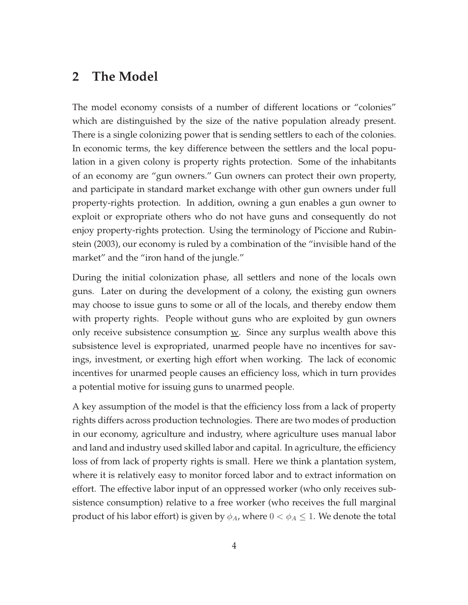#### **2 The Model**

The model economy consists of a number of different locations or "colonies" which are distinguished by the size of the native population already present. There is a single colonizing power that is sending settlers to each of the colonies. In economic terms, the key difference between the settlers and the local population in a given colony is property rights protection. Some of the inhabitants of an economy are "gun owners." Gun owners can protect their own property, and participate in standard market exchange with other gun owners under full property-rights protection. In addition, owning a gun enables a gun owner to exploit or expropriate others who do not have guns and consequently do not enjoy property-rights protection. Using the terminology of Piccione and Rubinstein (2003), our economy is ruled by a combination of the "invisible hand of the market" and the "iron hand of the jungle."

During the initial colonization phase, all settlers and none of the locals own guns. Later on during the development of a colony, the existing gun owners may choose to issue guns to some or all of the locals, and thereby endow them with property rights. People without guns who are exploited by gun owners only receive subsistence consumption  $\underline{w}$ . Since any surplus wealth above this subsistence level is expropriated, unarmed people have no incentives for savings, investment, or exerting high effort when working. The lack of economic incentives for unarmed people causes an efficiency loss, which in turn provides a potential motive for issuing guns to unarmed people.

A key assumption of the model is that the efficiency loss from a lack of property rights differs across production technologies. There are two modes of production in our economy, agriculture and industry, where agriculture uses manual labor and land and industry used skilled labor and capital. In agriculture, the efficiency loss of from lack of property rights is small. Here we think a plantation system, where it is relatively easy to monitor forced labor and to extract information on effort. The effective labor input of an oppressed worker (who only receives subsistence consumption) relative to a free worker (who receives the full marginal product of his labor effort) is given by  $\phi_A$ , where  $0 < \phi_A \leq 1$ . We denote the total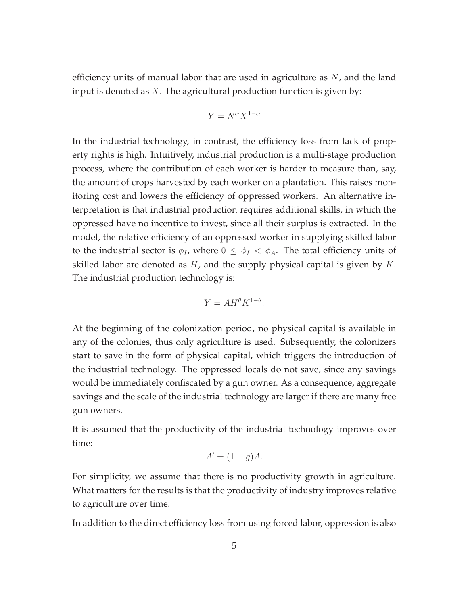efficiency units of manual labor that are used in agriculture as  $N$ , and the land input is denoted as  $X$ . The agricultural production function is given by:

$$
Y = N^{\alpha} X^{1-\alpha}
$$

In the industrial technology, in contrast, the efficiency loss from lack of property rights is high. Intuitively, industrial production is a multi-stage production process, where the contribution of each worker is harder to measure than, say, the amount of crops harvested by each worker on a plantation. This raises monitoring cost and lowers the efficiency of oppressed workers. An alternative interpretation is that industrial production requires additional skills, in which the oppressed have no incentive to invest, since all their surplus is extracted. In the model, the relative efficiency of an oppressed worker in supplying skilled labor to the industrial sector is  $\phi_I$ , where  $0 \leq \phi_I < \phi_A$ . The total efficiency units of skilled labor are denoted as  $H$ , and the supply physical capital is given by  $K$ . The industrial production technology is:

$$
Y = AH^{\theta} K^{1-\theta}.
$$

At the beginning of the colonization period, no physical capital is available in any of the colonies, thus only agriculture is used. Subsequently, the colonizers start to save in the form of physical capital, which triggers the introduction of the industrial technology. The oppressed locals do not save, since any savings would be immediately confiscated by a gun owner. As a consequence, aggregate savings and the scale of the industrial technology are larger if there are many free gun owners.

It is assumed that the productivity of the industrial technology improves over time:

$$
A' = (1+g)A.
$$

For simplicity, we assume that there is no productivity growth in agriculture. What matters for the results is that the productivity of industry improves relative to agriculture over time.

In addition to the direct efficiency loss from using forced labor, oppression is also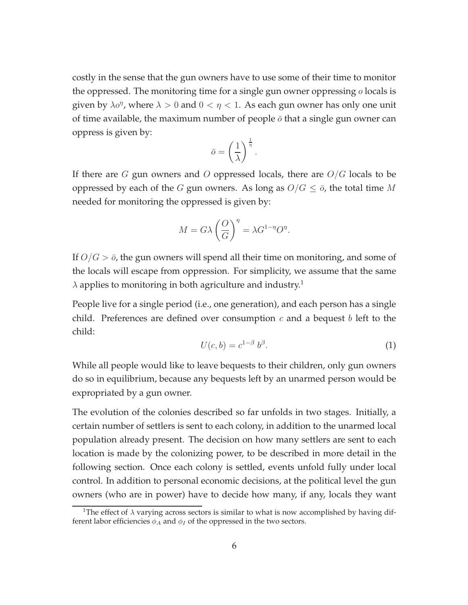costly in the sense that the gun owners have to use some of their time to monitor the oppressed. The monitoring time for a single gun owner oppressing  $o$  locals is given by  $\lambda \sigma^{\eta}$ , where  $\lambda > 0$  and  $0 < \eta < 1$ . As each gun owner has only one unit of time available, the maximum number of people  $\bar{\sigma}$  that a single gun owner can oppress is given by:

$$
\bar{o} = \left(\frac{1}{\lambda}\right)^{\frac{1}{\eta}}.
$$

If there are G gun owners and O oppressed locals, there are  $O/G$  locals to be oppressed by each of the G gun owners. As long as  $O/G \leq \overline{o}$ , the total time M needed for monitoring the oppressed is given by:

$$
M = G\lambda \left(\frac{O}{G}\right)^{\eta} = \lambda G^{1-\eta}O^{\eta}.
$$

If  $O/G > \bar{o}$ , the gun owners will spend all their time on monitoring, and some of the locals will escape from oppression. For simplicity, we assume that the same  $\lambda$  applies to monitoring in both agriculture and industry.<sup>1</sup>

People live for a single period (i.e., one generation), and each person has a single child. Preferences are defined over consumption  $c$  and a bequest  $b$  left to the child:

$$
U(c,b) = c^{1-\beta} b^{\beta}.
$$
 (1)

While all people would like to leave bequests to their children, only gun owners do so in equilibrium, because any bequests left by an unarmed person would be expropriated by a gun owner.

The evolution of the colonies described so far unfolds in two stages. Initially, a certain number of settlers is sent to each colony, in addition to the unarmed local population already present. The decision on how many settlers are sent to each location is made by the colonizing power, to be described in more detail in the following section. Once each colony is settled, events unfold fully under local control. In addition to personal economic decisions, at the political level the gun owners (who are in power) have to decide how many, if any, locals they want

<sup>&</sup>lt;sup>1</sup>The effect of  $\lambda$  varying across sectors is similar to what is now accomplished by having different labor efficiencies  $\phi_A$  and  $\phi_I$  of the oppressed in the two sectors.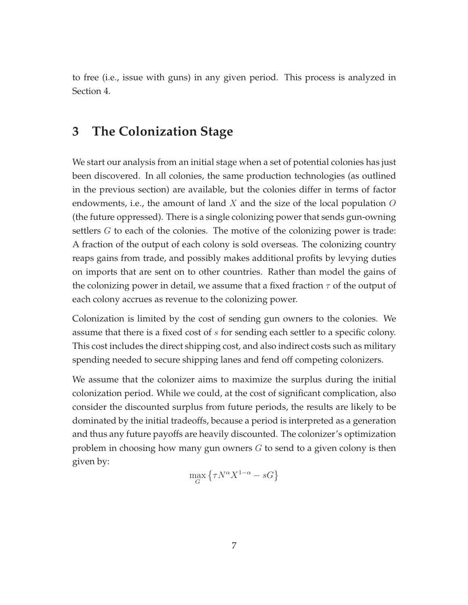to free (i.e., issue with guns) in any given period. This process is analyzed in Section 4.

#### **3 The Colonization Stage**

We start our analysis from an initial stage when a set of potential colonies has just been discovered. In all colonies, the same production technologies (as outlined in the previous section) are available, but the colonies differ in terms of factor endowments, i.e., the amount of land  $X$  and the size of the local population  $O$ (the future oppressed). There is a single colonizing power that sends gun-owning settlers G to each of the colonies. The motive of the colonizing power is trade: A fraction of the output of each colony is sold overseas. The colonizing country reaps gains from trade, and possibly makes additional profits by levying duties on imports that are sent on to other countries. Rather than model the gains of the colonizing power in detail, we assume that a fixed fraction  $\tau$  of the output of each colony accrues as revenue to the colonizing power.

Colonization is limited by the cost of sending gun owners to the colonies. We assume that there is a fixed cost of s for sending each settler to a specific colony. This cost includes the direct shipping cost, and also indirect costs such as military spending needed to secure shipping lanes and fend off competing colonizers.

We assume that the colonizer aims to maximize the surplus during the initial colonization period. While we could, at the cost of significant complication, also consider the discounted surplus from future periods, the results are likely to be dominated by the initial tradeoffs, because a period is interpreted as a generation and thus any future payoffs are heavily discounted. The colonizer's optimization problem in choosing how many gun owners  $G$  to send to a given colony is then given by:

$$
\max_{G} \left\{ \tau N^{\alpha} X^{1-\alpha} - sG \right\}
$$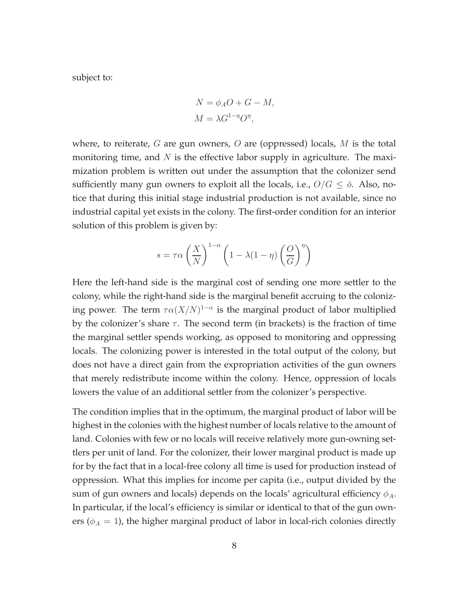subject to:

$$
N = \phi_A O + G - M,
$$
  

$$
M = \lambda G^{1-\eta} O^{\eta},
$$

where, to reiterate,  $G$  are gun owners,  $O$  are (oppressed) locals,  $M$  is the total monitoring time, and  $N$  is the effective labor supply in agriculture. The maximization problem is written out under the assumption that the colonizer send sufficiently many gun owners to exploit all the locals, i.e.,  $O/G \leq \bar{O}$ . Also, notice that during this initial stage industrial production is not available, since no industrial capital yet exists in the colony. The first-order condition for an interior solution of this problem is given by:

$$
s = \tau \alpha \left(\frac{X}{N}\right)^{1-\alpha} \left(1 - \lambda(1-\eta)\left(\frac{O}{G}\right)^{\eta}\right)
$$

Here the left-hand side is the marginal cost of sending one more settler to the colony, while the right-hand side is the marginal benefit accruing to the colonizing power. The term  $\tau \alpha (X/N)^{1-\alpha}$  is the marginal product of labor multiplied by the colonizer's share  $\tau$ . The second term (in brackets) is the fraction of time the marginal settler spends working, as opposed to monitoring and oppressing locals. The colonizing power is interested in the total output of the colony, but does not have a direct gain from the expropriation activities of the gun owners that merely redistribute income within the colony. Hence, oppression of locals lowers the value of an additional settler from the colonizer's perspective.

The condition implies that in the optimum, the marginal product of labor will be highest in the colonies with the highest number of locals relative to the amount of land. Colonies with few or no locals will receive relatively more gun-owning settlers per unit of land. For the colonizer, their lower marginal product is made up for by the fact that in a local-free colony all time is used for production instead of oppression. What this implies for income per capita (i.e., output divided by the sum of gun owners and locals) depends on the locals' agricultural efficiency  $\phi_A$ . In particular, if the local's efficiency is similar or identical to that of the gun owners ( $\phi_A = 1$ ), the higher marginal product of labor in local-rich colonies directly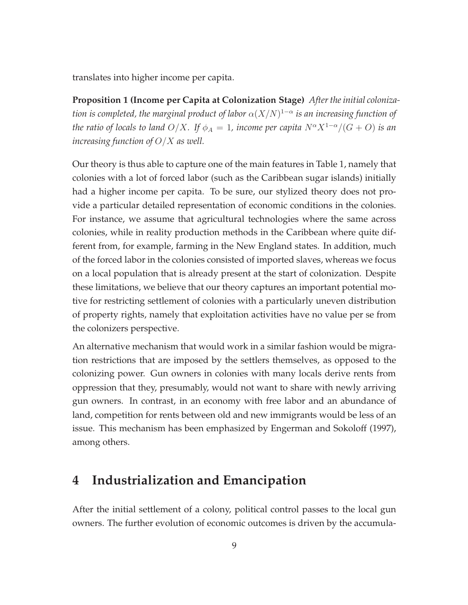translates into higher income per capita.

**Proposition 1 (Income per Capita at Colonization Stage)** *After the initial colonization is completed, the marginal product of labor*  $\alpha$ ( $X/N$ )<sup>1- $\alpha$ </sup> *is an increasing function of the ratio of locals to land*  $O/X$ *. If*  $\phi_A = 1$ *, income per capita*  $N^{\alpha}X^{1-\alpha}/(G+O)$  *is an increasing function of* O/X *as well.*

Our theory is thus able to capture one of the main features in Table 1, namely that colonies with a lot of forced labor (such as the Caribbean sugar islands) initially had a higher income per capita. To be sure, our stylized theory does not provide a particular detailed representation of economic conditions in the colonies. For instance, we assume that agricultural technologies where the same across colonies, while in reality production methods in the Caribbean where quite different from, for example, farming in the New England states. In addition, much of the forced labor in the colonies consisted of imported slaves, whereas we focus on a local population that is already present at the start of colonization. Despite these limitations, we believe that our theory captures an important potential motive for restricting settlement of colonies with a particularly uneven distribution of property rights, namely that exploitation activities have no value per se from the colonizers perspective.

An alternative mechanism that would work in a similar fashion would be migration restrictions that are imposed by the settlers themselves, as opposed to the colonizing power. Gun owners in colonies with many locals derive rents from oppression that they, presumably, would not want to share with newly arriving gun owners. In contrast, in an economy with free labor and an abundance of land, competition for rents between old and new immigrants would be less of an issue. This mechanism has been emphasized by Engerman and Sokoloff (1997), among others.

#### **4 Industrialization and Emancipation**

After the initial settlement of a colony, political control passes to the local gun owners. The further evolution of economic outcomes is driven by the accumula-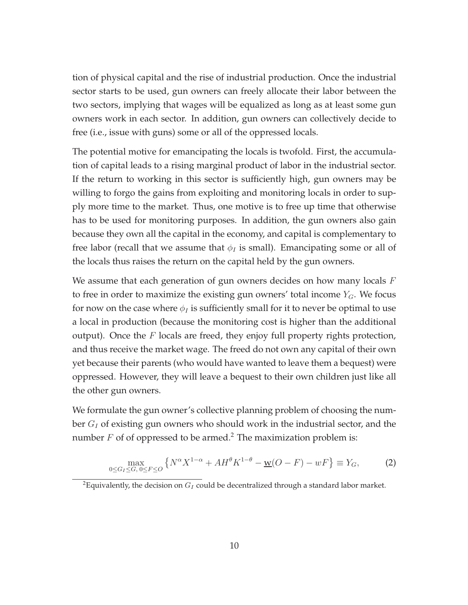tion of physical capital and the rise of industrial production. Once the industrial sector starts to be used, gun owners can freely allocate their labor between the two sectors, implying that wages will be equalized as long as at least some gun owners work in each sector. In addition, gun owners can collectively decide to free (i.e., issue with guns) some or all of the oppressed locals.

The potential motive for emancipating the locals is twofold. First, the accumulation of capital leads to a rising marginal product of labor in the industrial sector. If the return to working in this sector is sufficiently high, gun owners may be willing to forgo the gains from exploiting and monitoring locals in order to supply more time to the market. Thus, one motive is to free up time that otherwise has to be used for monitoring purposes. In addition, the gun owners also gain because they own all the capital in the economy, and capital is complementary to free labor (recall that we assume that  $\phi_I$  is small). Emancipating some or all of the locals thus raises the return on the capital held by the gun owners.

We assume that each generation of gun owners decides on how many locals  $F$ to free in order to maximize the existing gun owners' total income  $Y_G$ . We focus for now on the case where  $\phi$ <sub>I</sub> is sufficiently small for it to never be optimal to use a local in production (because the monitoring cost is higher than the additional output). Once the  $F$  locals are freed, they enjoy full property rights protection, and thus receive the market wage. The freed do not own any capital of their own yet because their parents (who would have wanted to leave them a bequest) were oppressed. However, they will leave a bequest to their own children just like all the other gun owners.

We formulate the gun owner's collective planning problem of choosing the number  $G_I$  of existing gun owners who should work in the industrial sector, and the number  $F$  of of oppressed to be armed.<sup>2</sup> The maximization problem is:

$$
\max_{0 \le G_I \le G, 0 \le F \le O} \left\{ N^{\alpha} X^{1-\alpha} + A H^{\theta} K^{1-\theta} - \underline{w}(O - F) - wF \right\} \equiv Y_G,\tag{2}
$$

<sup>&</sup>lt;sup>2</sup>Equivalently, the decision on  $G_I$  could be decentralized through a standard labor market.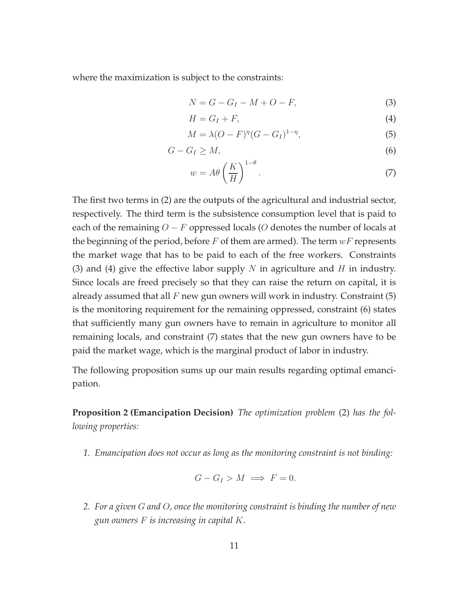where the maximization is subject to the constraints:

$$
N = G - G_I - M + O - F,\tag{3}
$$

$$
H = G_I + F,\tag{4}
$$

$$
M = \lambda (O - F)^{\eta} (G - G_I)^{1 - \eta},\tag{5}
$$

$$
G - G_I \ge M,\tag{6}
$$

$$
w = A\theta \left(\frac{K}{H}\right)^{1-\theta}.
$$
\n(7)

The first two terms in (2) are the outputs of the agricultural and industrial sector, respectively. The third term is the subsistence consumption level that is paid to each of the remaining  $O - F$  oppressed locals (O denotes the number of locals at the beginning of the period, before  $F$  of them are armed). The term  $wF$  represents the market wage that has to be paid to each of the free workers. Constraints (3) and (4) give the effective labor supply N in agriculture and H in industry. Since locals are freed precisely so that they can raise the return on capital, it is already assumed that all  $F$  new gun owners will work in industry. Constraint (5) is the monitoring requirement for the remaining oppressed, constraint (6) states that sufficiently many gun owners have to remain in agriculture to monitor all remaining locals, and constraint (7) states that the new gun owners have to be paid the market wage, which is the marginal product of labor in industry.

The following proposition sums up our main results regarding optimal emancipation.

**Proposition 2 (Emancipation Decision)** *The optimization problem* (2) *has the following properties:*

*1. Emancipation does not occur as long as the monitoring constraint is not binding:*

$$
G - G_I > M \implies F = 0.
$$

*2. For a given* G *and* O*, once the monitoring constraint is binding the number of new gun owners* F *is increasing in capital* K*.*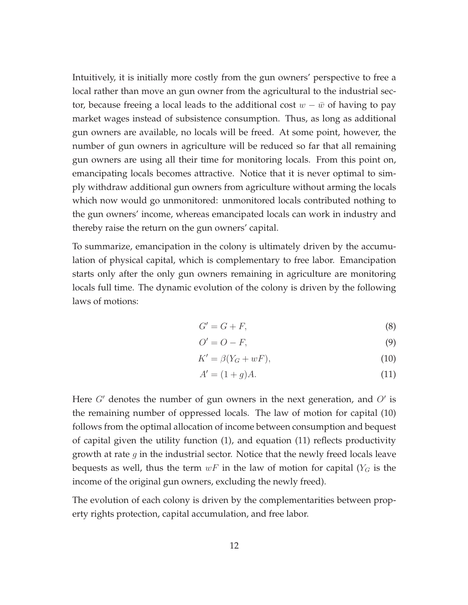Intuitively, it is initially more costly from the gun owners' perspective to free a local rather than move an gun owner from the agricultural to the industrial sector, because freeing a local leads to the additional cost  $w - \bar{w}$  of having to pay market wages instead of subsistence consumption. Thus, as long as additional gun owners are available, no locals will be freed. At some point, however, the number of gun owners in agriculture will be reduced so far that all remaining gun owners are using all their time for monitoring locals. From this point on, emancipating locals becomes attractive. Notice that it is never optimal to simply withdraw additional gun owners from agriculture without arming the locals which now would go unmonitored: unmonitored locals contributed nothing to the gun owners' income, whereas emancipated locals can work in industry and thereby raise the return on the gun owners' capital.

To summarize, emancipation in the colony is ultimately driven by the accumulation of physical capital, which is complementary to free labor. Emancipation starts only after the only gun owners remaining in agriculture are monitoring locals full time. The dynamic evolution of the colony is driven by the following laws of motions:

$$
G' = G + F,\tag{8}
$$

$$
O'=O-F,\t\t(9)
$$

$$
K' = \beta(Y_G + wF),\tag{10}
$$

$$
A' = (1+g)A.
$$
\n<sup>(11)</sup>

Here  $G'$  denotes the number of gun owners in the next generation, and  $O'$  is the remaining number of oppressed locals. The law of motion for capital (10) follows from the optimal allocation of income between consumption and bequest of capital given the utility function (1), and equation (11) reflects productivity growth at rate  $g$  in the industrial sector. Notice that the newly freed locals leave bequests as well, thus the term  $wF$  in the law of motion for capital ( $Y_G$  is the income of the original gun owners, excluding the newly freed).

The evolution of each colony is driven by the complementarities between property rights protection, capital accumulation, and free labor.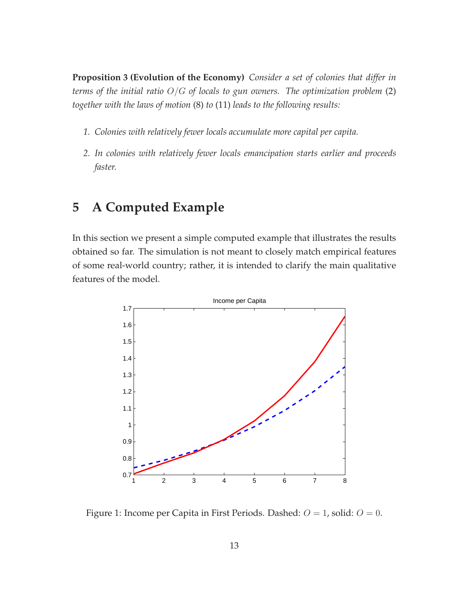**Proposition 3 (Evolution of the Economy)** *Consider a set of colonies that differ in terms of the initial ratio* O/G *of locals to gun owners. The optimization problem* (2) *together with the laws of motion* (8) *to* (11) *leads to the following results:*

- *1. Colonies with relatively fewer locals accumulate more capital per capita.*
- *2. In colonies with relatively fewer locals emancipation starts earlier and proceeds faster.*

## **5 A Computed Example**

In this section we present a simple computed example that illustrates the results obtained so far. The simulation is not meant to closely match empirical features of some real-world country; rather, it is intended to clarify the main qualitative features of the model.



Figure 1: Income per Capita in First Periods. Dashed:  $O = 1$ , solid:  $O = 0$ .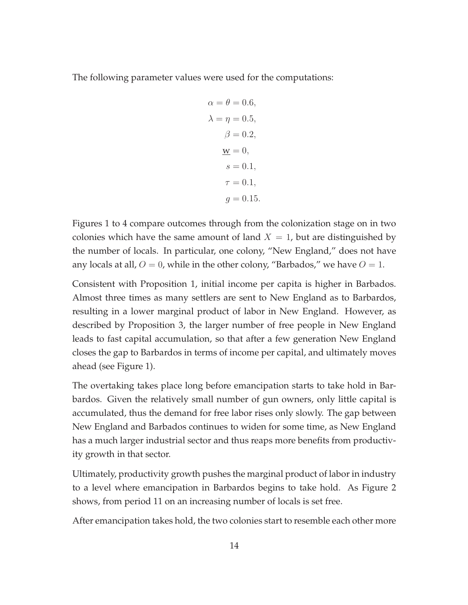The following parameter values were used for the computations:

$$
\alpha = \theta = 0.6,
$$
  
\n
$$
\lambda = \eta = 0.5,
$$
  
\n
$$
\beta = 0.2,
$$
  
\n
$$
\underline{w} = 0,
$$
  
\n
$$
s = 0.1,
$$
  
\n
$$
\tau = 0.1,
$$
  
\n
$$
g = 0.15.
$$

Figures 1 to 4 compare outcomes through from the colonization stage on in two colonies which have the same amount of land  $X = 1$ , but are distinguished by the number of locals. In particular, one colony, "New England," does not have any locals at all,  $O = 0$ , while in the other colony, "Barbados," we have  $O = 1$ .

Consistent with Proposition 1, initial income per capita is higher in Barbados. Almost three times as many settlers are sent to New England as to Barbardos, resulting in a lower marginal product of labor in New England. However, as described by Proposition 3, the larger number of free people in New England leads to fast capital accumulation, so that after a few generation New England closes the gap to Barbardos in terms of income per capital, and ultimately moves ahead (see Figure 1).

The overtaking takes place long before emancipation starts to take hold in Barbardos. Given the relatively small number of gun owners, only little capital is accumulated, thus the demand for free labor rises only slowly. The gap between New England and Barbados continues to widen for some time, as New England has a much larger industrial sector and thus reaps more benefits from productivity growth in that sector.

Ultimately, productivity growth pushes the marginal product of labor in industry to a level where emancipation in Barbardos begins to take hold. As Figure 2 shows, from period 11 on an increasing number of locals is set free.

After emancipation takes hold, the two colonies start to resemble each other more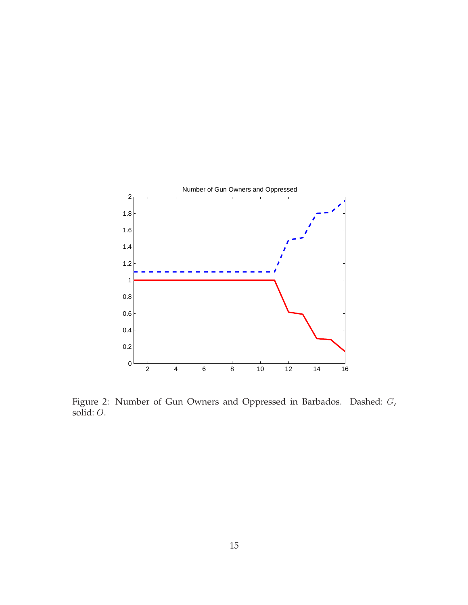

Figure 2: Number of Gun Owners and Oppressed in Barbados. Dashed: G, solid: O.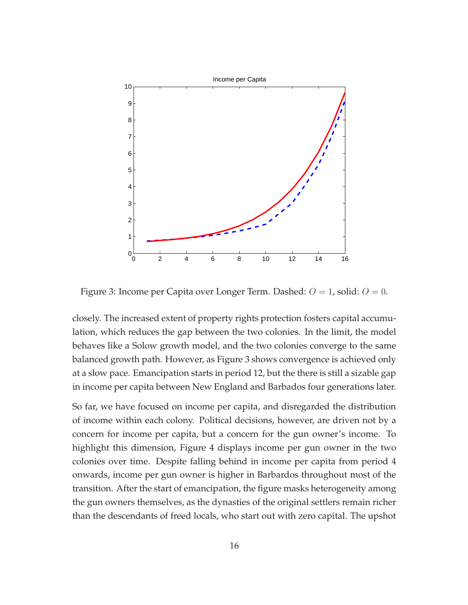

Figure 3: Income per Capita over Longer Term. Dashed:  $O = 1$ , solid:  $O = 0$ .

closely. The increased extent of property rights protection fosters capital accumulation, which reduces the gap between the two colonies. In the limit, the model behaves like a Solow growth model, and the two colonies converge to the same balanced growth path. However, as Figure 3 shows convergence is achieved only at a slow pace. Emancipation starts in period 12, but the there is still a sizable gap in income per capita between New England and Barbados four generations later.

So far, we have focused on income per capita, and disregarded the distribution of income within each colony. Political decisions, however, are driven not by a concern for income per capita, but a concern for the gun owner's income. To highlight this dimension, Figure 4 displays income per gun owner in the two colonies over time. Despite falling behind in income per capita from period 4 onwards, income per gun owner is higher in Barbardos throughout most of the transition. After the start of emancipation, the figure masks heterogeneity among the gun owners themselves, as the dynasties of the original settlers remain richer than the descendants of freed locals, who start out with zero capital. The upshot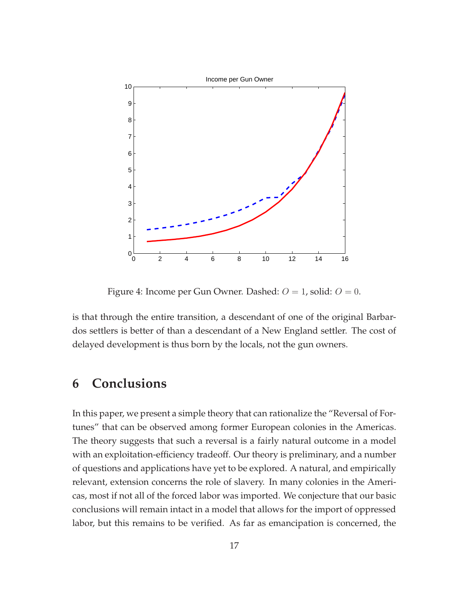

Figure 4: Income per Gun Owner. Dashed:  $O = 1$ , solid:  $O = 0$ .

is that through the entire transition, a descendant of one of the original Barbardos settlers is better of than a descendant of a New England settler. The cost of delayed development is thus born by the locals, not the gun owners.

### **6 Conclusions**

In this paper, we present a simple theory that can rationalize the "Reversal of Fortunes" that can be observed among former European colonies in the Americas. The theory suggests that such a reversal is a fairly natural outcome in a model with an exploitation-efficiency tradeoff. Our theory is preliminary, and a number of questions and applications have yet to be explored. A natural, and empirically relevant, extension concerns the role of slavery. In many colonies in the Americas, most if not all of the forced labor was imported. We conjecture that our basic conclusions will remain intact in a model that allows for the import of oppressed labor, but this remains to be verified. As far as emancipation is concerned, the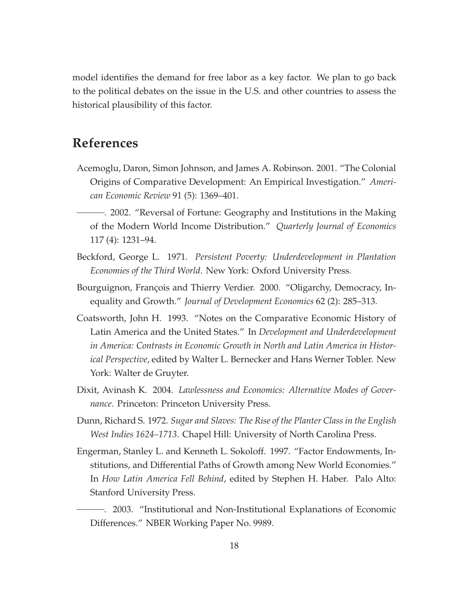model identifies the demand for free labor as a key factor. We plan to go back to the political debates on the issue in the U.S. and other countries to assess the historical plausibility of this factor.

#### **References**

- Acemoglu, Daron, Simon Johnson, and James A. Robinson. 2001. "The Colonial Origins of Comparative Development: An Empirical Investigation." *American Economic Review* 91 (5): 1369–401.
	- . 2002. "Reversal of Fortune: Geography and Institutions in the Making of the Modern World Income Distribution." *Quarterly Journal of Economics* 117 (4): 1231–94.
- Beckford, George L. 1971. *Persistent Poverty: Underdevelopment in Plantation Economies of the Third World*. New York: Oxford University Press.
- Bourguignon, François and Thierry Verdier. 2000. "Oligarchy, Democracy, Inequality and Growth." *Journal of Development Economics* 62 (2): 285–313.
- Coatsworth, John H. 1993. "Notes on the Comparative Economic History of Latin America and the United States." In *Development and Underdevelopment in America: Contrasts in Economic Growth in North and Latin America in Historical Perspective*, edited by Walter L. Bernecker and Hans Werner Tobler. New York: Walter de Gruyter.
- Dixit, Avinash K. 2004. *Lawlessness and Economics: Alternative Modes of Governance*. Princeton: Princeton University Press.
- Dunn, Richard S. 1972. *Sugar and Slaves: The Rise of the Planter Class in the English West Indies 1624–1713*. Chapel Hill: University of North Carolina Press.
- Engerman, Stanley L. and Kenneth L. Sokoloff. 1997. "Factor Endowments, Institutions, and Differential Paths of Growth among New World Economies." In *How Latin America Fell Behind*, edited by Stephen H. Haber. Palo Alto: Stanford University Press.
- . 2003. "Institutional and Non-Institutional Explanations of Economic Differences." NBER Working Paper No. 9989.